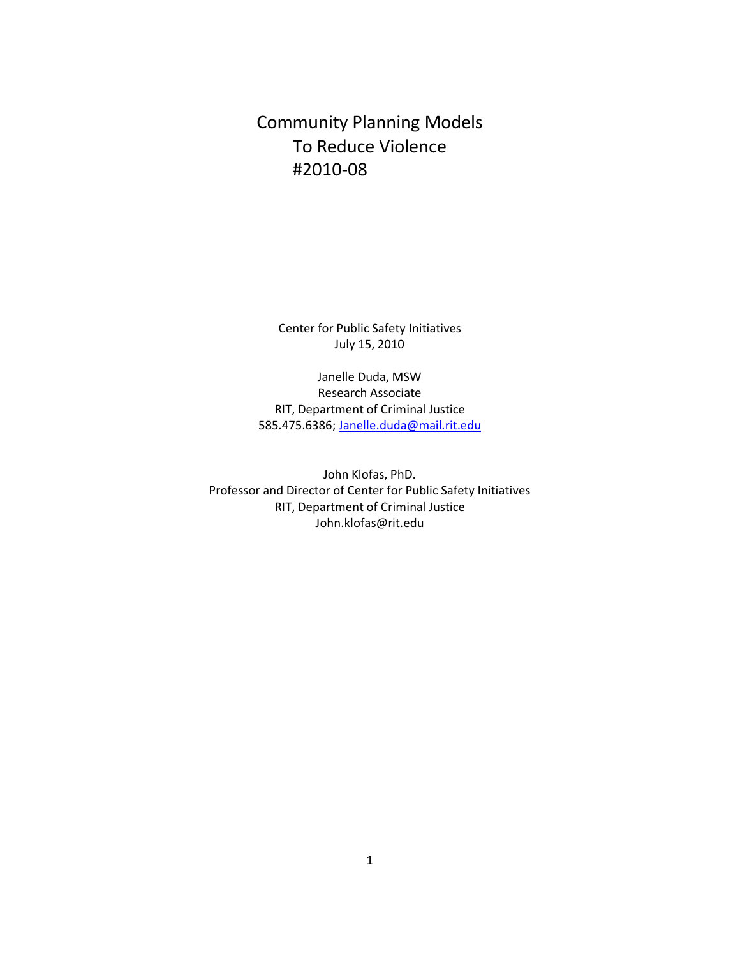# Community Planning Models To Reduce Violence #2010-08

Center for Public Safety Initiatives July 15, 2010

Janelle Duda, MSW Research Associate RIT, Department of Criminal Justice 585.475.6386[; Janelle.duda@mail.rit.edu](mailto:Janelle.duda@mail.rit.edu)

John Klofas, PhD. Professor and Director of Center for Public Safety Initiatives RIT, Department of Criminal Justice John.klofas@rit.edu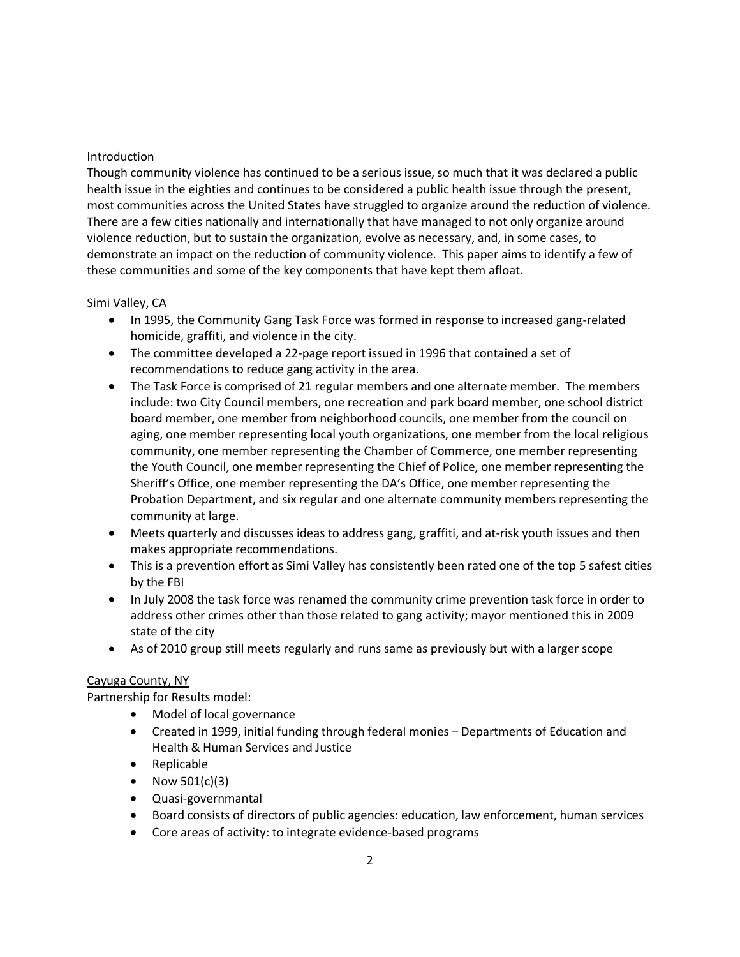## Introduction

Though community violence has continued to be a serious issue, so much that it was declared a public health issue in the eighties and continues to be considered a public health issue through the present, most communities across the United States have struggled to organize around the reduction of violence. There are a few cities nationally and internationally that have managed to not only organize around violence reduction, but to sustain the organization, evolve as necessary, and, in some cases, to demonstrate an impact on the reduction of community violence. This paper aims to identify a few of these communities and some of the key components that have kept them afloat.

# Simi Valley, CA

- In 1995, the Community Gang Task Force was formed in response to increased gang-related homicide, graffiti, and violence in the city.
- The committee developed a 22-page report issued in 1996 that contained a set of recommendations to reduce gang activity in the area.
- The Task Force is comprised of 21 regular members and one alternate member. The members include: two City Council members, one recreation and park board member, one school district board member, one member from neighborhood councils, one member from the council on aging, one member representing local youth organizations, one member from the local religious community, one member representing the Chamber of Commerce, one member representing the Youth Council, one member representing the Chief of Police, one member representing the Sheriff's Office, one member representing the DA's Office, one member representing the Probation Department, and six regular and one alternate community members representing the community at large.
- Meets quarterly and discusses ideas to address gang, graffiti, and at-risk youth issues and then makes appropriate recommendations.
- This is a prevention effort as Simi Valley has consistently been rated one of the top 5 safest cities by the FBI
- In July 2008 the task force was renamed the community crime prevention task force in order to address other crimes other than those related to gang activity; mayor mentioned this in 2009 state of the city
- As of 2010 group still meets regularly and runs same as previously but with a larger scope

### Cayuga County, NY

Partnership for Results model:

- Model of local governance
- Created in 1999, initial funding through federal monies Departments of Education and Health & Human Services and Justice
- Replicable
- Now  $501(c)(3)$
- Quasi-governmantal
- Board consists of directors of public agencies: education, law enforcement, human services
- Core areas of activity: to integrate evidence-based programs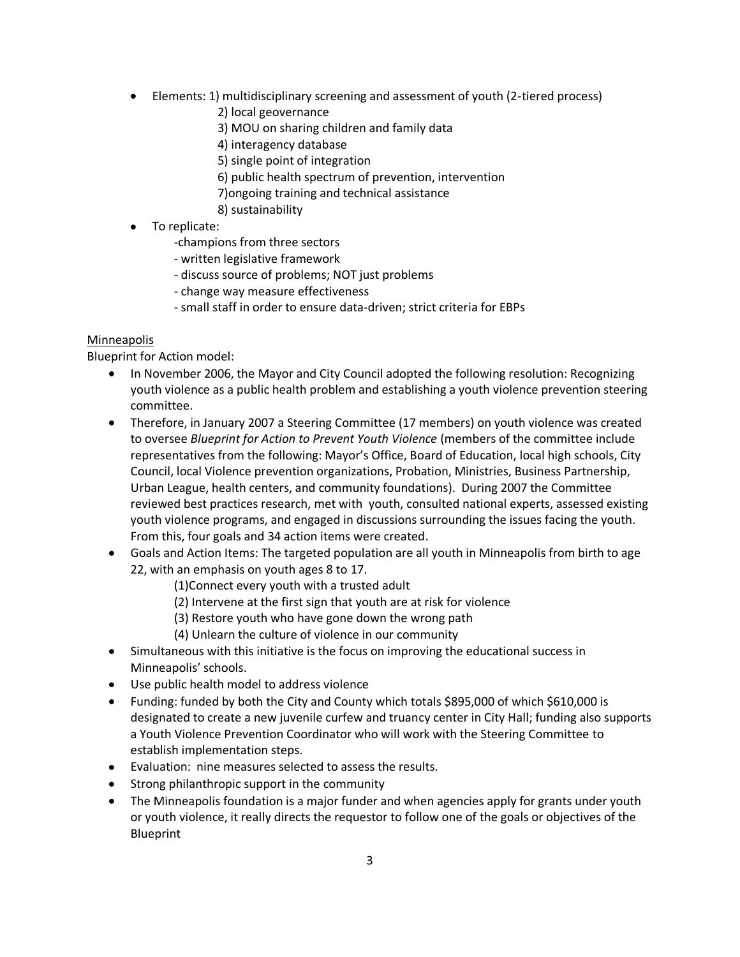- Elements: 1) multidisciplinary screening and assessment of youth (2-tiered process)
	- 2) local geovernance
	- 3) MOU on sharing children and family data
	- 4) interagency database
	- 5) single point of integration
	- 6) public health spectrum of prevention, intervention
	- 7)ongoing training and technical assistance
	- 8) sustainability
- To replicate:
	- -champions from three sectors
	- written legislative framework
	- discuss source of problems; NOT just problems
	- change way measure effectiveness
	- small staff in order to ensure data-driven; strict criteria for EBPs

# **Minneapolis**

Blueprint for Action model:

- In November 2006, the Mayor and City Council adopted the following resolution: Recognizing youth violence as a public health problem and establishing a youth violence prevention steering committee.
- Therefore, in January 2007 a Steering Committee (17 members) on youth violence was created to oversee *Blueprint for Action to Prevent Youth Violence* (members of the committee include representatives from the following: Mayor's Office, Board of Education, local high schools, City Council, local Violence prevention organizations, Probation, Ministries, Business Partnership, Urban League, health centers, and community foundations). During 2007 the Committee reviewed best practices research, met with youth, consulted national experts, assessed existing youth violence programs, and engaged in discussions surrounding the issues facing the youth. From this, four goals and 34 action items were created.
- Goals and Action Items: The targeted population are all youth in Minneapolis from birth to age 22, with an emphasis on youth ages 8 to 17.
	- (1)Connect every youth with a trusted adult
	- (2) Intervene at the first sign that youth are at risk for violence
	- (3) Restore youth who have gone down the wrong path
	- (4) Unlearn the culture of violence in our community
- Simultaneous with this initiative is the focus on improving the educational success in Minneapolis' schools.
- Use public health model to address violence
- Funding: funded by both the City and County which totals \$895,000 of which \$610,000 is designated to create a new juvenile curfew and truancy center in City Hall; funding also supports a Youth Violence Prevention Coordinator who will work with the Steering Committee to establish implementation steps.
- Evaluation: nine measures selected to assess the results.
- Strong philanthropic support in the community
- The Minneapolis foundation is a major funder and when agencies apply for grants under youth or youth violence, it really directs the requestor to follow one of the goals or objectives of the Blueprint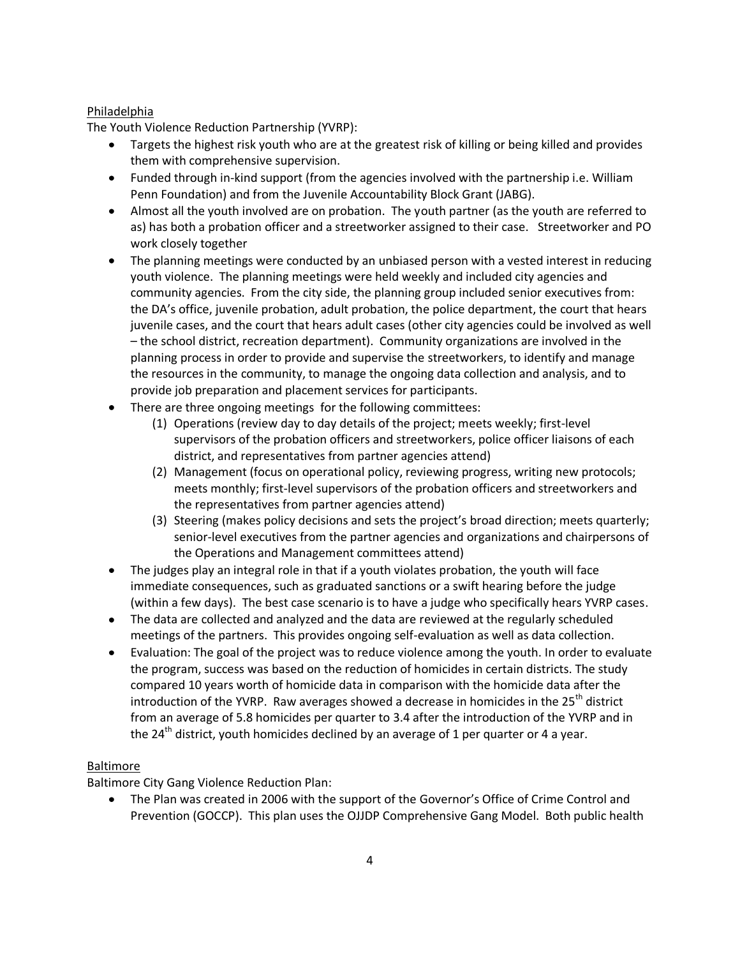# Philadelphia

The Youth Violence Reduction Partnership (YVRP):

- Targets the highest risk youth who are at the greatest risk of killing or being killed and provides them with comprehensive supervision.
- Funded through in-kind support (from the agencies involved with the partnership i.e. William Penn Foundation) and from the Juvenile Accountability Block Grant (JABG).
- Almost all the youth involved are on probation. The youth partner (as the youth are referred to as) has both a probation officer and a streetworker assigned to their case. Streetworker and PO work closely together
- The planning meetings were conducted by an unbiased person with a vested interest in reducing youth violence. The planning meetings were held weekly and included city agencies and community agencies. From the city side, the planning group included senior executives from: the DA's office, juvenile probation, adult probation, the police department, the court that hears juvenile cases, and the court that hears adult cases (other city agencies could be involved as well – the school district, recreation department). Community organizations are involved in the planning process in order to provide and supervise the streetworkers, to identify and manage the resources in the community, to manage the ongoing data collection and analysis, and to provide job preparation and placement services for participants.
- There are three ongoing meetings for the following committees:
	- (1) Operations (review day to day details of the project; meets weekly; first-level supervisors of the probation officers and streetworkers, police officer liaisons of each district, and representatives from partner agencies attend)
	- (2) Management (focus on operational policy, reviewing progress, writing new protocols; meets monthly; first-level supervisors of the probation officers and streetworkers and the representatives from partner agencies attend)
	- (3) Steering (makes policy decisions and sets the project's broad direction; meets quarterly; senior-level executives from the partner agencies and organizations and chairpersons of the Operations and Management committees attend)
- The judges play an integral role in that if a youth violates probation, the youth will face immediate consequences, such as graduated sanctions or a swift hearing before the judge (within a few days). The best case scenario is to have a judge who specifically hears YVRP cases.
- The data are collected and analyzed and the data are reviewed at the regularly scheduled meetings of the partners. This provides ongoing self-evaluation as well as data collection.
- Evaluation: The goal of the project was to reduce violence among the youth. In order to evaluate the program, success was based on the reduction of homicides in certain districts. The study compared 10 years worth of homicide data in comparison with the homicide data after the introduction of the YVRP. Raw averages showed a decrease in homicides in the  $25<sup>th</sup>$  district from an average of 5.8 homicides per quarter to 3.4 after the introduction of the YVRP and in the 24<sup>th</sup> district, youth homicides declined by an average of 1 per quarter or 4 a year.

### Baltimore

Baltimore City Gang Violence Reduction Plan:

The Plan was created in 2006 with the support of the Governor's Office of Crime Control and Prevention (GOCCP). This plan uses the OJJDP Comprehensive Gang Model. Both public health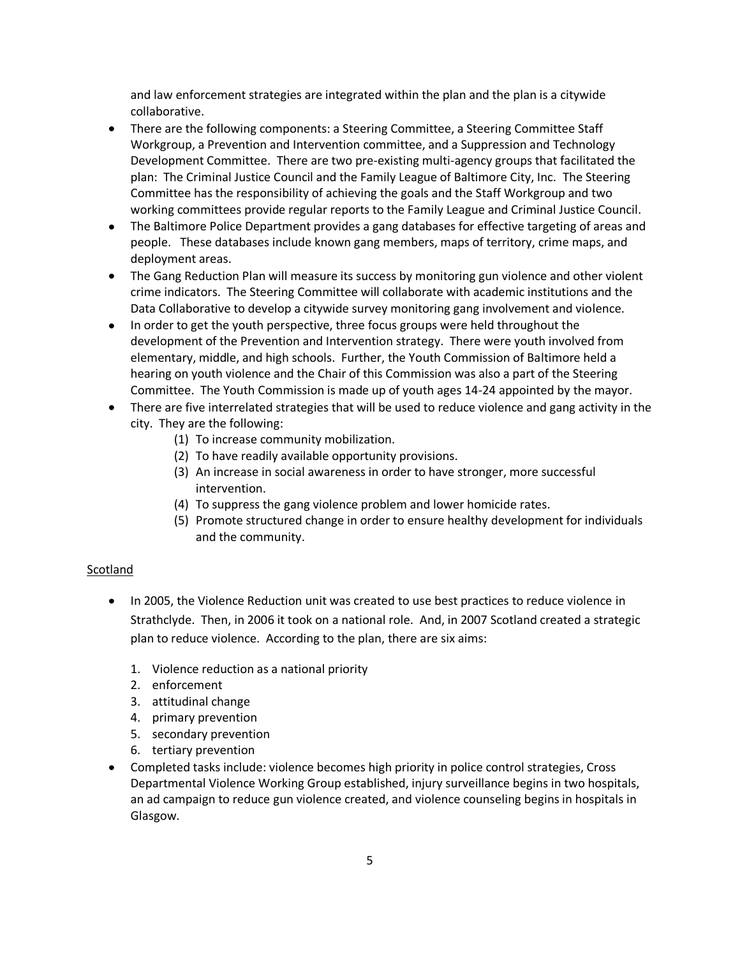and law enforcement strategies are integrated within the plan and the plan is a citywide collaborative.

- There are the following components: a Steering Committee, a Steering Committee Staff  $\bullet$ Workgroup, a Prevention and Intervention committee, and a Suppression and Technology Development Committee. There are two pre-existing multi-agency groups that facilitated the plan: The Criminal Justice Council and the Family League of Baltimore City, Inc. The Steering Committee has the responsibility of achieving the goals and the Staff Workgroup and two working committees provide regular reports to the Family League and Criminal Justice Council.
- The Baltimore Police Department provides a gang databases for effective targeting of areas and people. These databases include known gang members, maps of territory, crime maps, and deployment areas.
- The Gang Reduction Plan will measure its success by monitoring gun violence and other violent crime indicators. The Steering Committee will collaborate with academic institutions and the Data Collaborative to develop a citywide survey monitoring gang involvement and violence.
- In order to get the youth perspective, three focus groups were held throughout the development of the Prevention and Intervention strategy. There were youth involved from elementary, middle, and high schools. Further, the Youth Commission of Baltimore held a hearing on youth violence and the Chair of this Commission was also a part of the Steering Committee. The Youth Commission is made up of youth ages 14-24 appointed by the mayor.
- There are five interrelated strategies that will be used to reduce violence and gang activity in the city. They are the following:
	- (1) To increase community mobilization.
	- (2) To have readily available opportunity provisions.
	- (3) An increase in social awareness in order to have stronger, more successful intervention.
	- (4) To suppress the gang violence problem and lower homicide rates.
	- (5) Promote structured change in order to ensure healthy development for individuals and the community.

#### Scotland

- In 2005, the Violence Reduction unit was created to use best practices to reduce violence in Strathclyde. Then, in 2006 it took on a national role. And, in 2007 Scotland created a strategic plan to reduce violence. According to the plan, there are six aims:
	- 1. Violence reduction as a national priority
	- 2. enforcement
	- 3. attitudinal change
	- 4. primary prevention
	- 5. secondary prevention
	- 6. tertiary prevention
- Completed tasks include: violence becomes high priority in police control strategies, Cross Departmental Violence Working Group established, injury surveillance begins in two hospitals, an ad campaign to reduce gun violence created, and violence counseling begins in hospitals in Glasgow.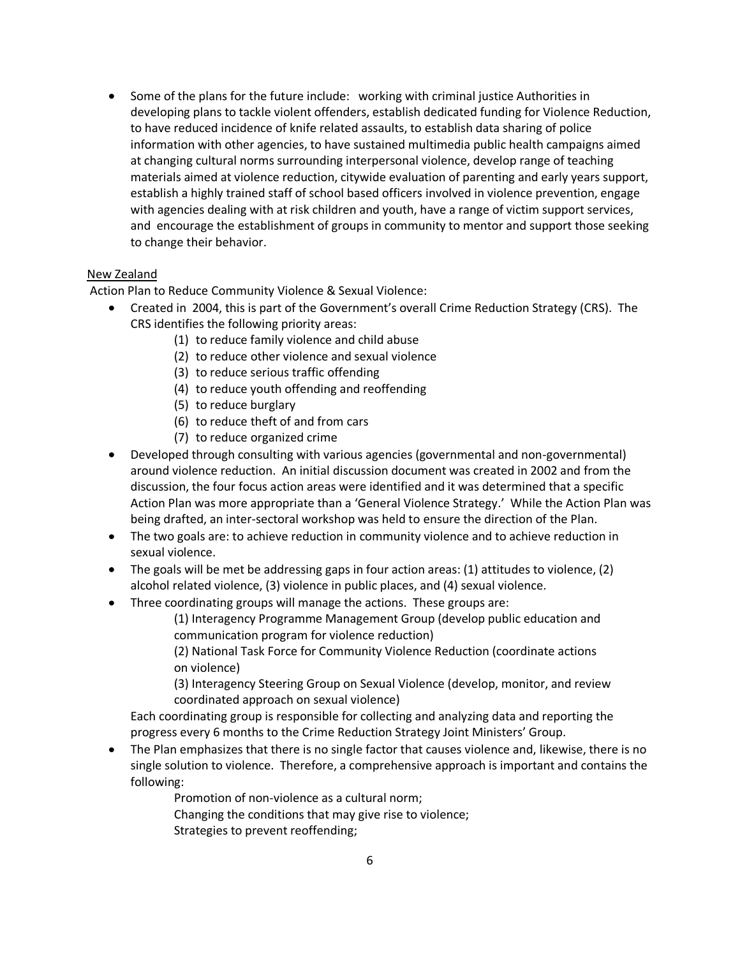Some of the plans for the future include: working with criminal justice Authorities in developing plans to tackle violent offenders, establish dedicated funding for Violence Reduction, to have reduced incidence of knife related assaults, to establish data sharing of police information with other agencies, to have sustained multimedia public health campaigns aimed at changing cultural norms surrounding interpersonal violence, develop range of teaching materials aimed at violence reduction, citywide evaluation of parenting and early years support, establish a highly trained staff of school based officers involved in violence prevention, engage with agencies dealing with at risk children and youth, have a range of victim support services, and encourage the establishment of groups in community to mentor and support those seeking to change their behavior.

#### New Zealand

Action Plan to Reduce Community Violence & Sexual Violence:

- Created in 2004, this is part of the Government's overall Crime Reduction Strategy (CRS). The CRS identifies the following priority areas:
	- (1) to reduce family violence and child abuse
	- (2) to reduce other violence and sexual violence
	- (3) to reduce serious traffic offending
	- (4) to reduce youth offending and reoffending
	- (5) to reduce burglary
	- (6) to reduce theft of and from cars
	- (7) to reduce organized crime
- Developed through consulting with various agencies (governmental and non-governmental) around violence reduction. An initial discussion document was created in 2002 and from the discussion, the four focus action areas were identified and it was determined that a specific Action Plan was more appropriate than a 'General Violence Strategy.' While the Action Plan was being drafted, an inter-sectoral workshop was held to ensure the direction of the Plan.
- The two goals are: to achieve reduction in community violence and to achieve reduction in sexual violence.
- The goals will be met be addressing gaps in four action areas: (1) attitudes to violence, (2) alcohol related violence, (3) violence in public places, and (4) sexual violence.
- Three coordinating groups will manage the actions. These groups are:

 (1) Interagency Programme Management Group (develop public education and communication program for violence reduction)

 (2) National Task Force for Community Violence Reduction (coordinate actions on violence)

 (3) Interagency Steering Group on Sexual Violence (develop, monitor, and review coordinated approach on sexual violence)

Each coordinating group is responsible for collecting and analyzing data and reporting the progress every 6 months to the Crime Reduction Strategy Joint Ministers' Group.

The Plan emphasizes that there is no single factor that causes violence and, likewise, there is no single solution to violence. Therefore, a comprehensive approach is important and contains the following:

> Promotion of non-violence as a cultural norm; Changing the conditions that may give rise to violence; Strategies to prevent reoffending;